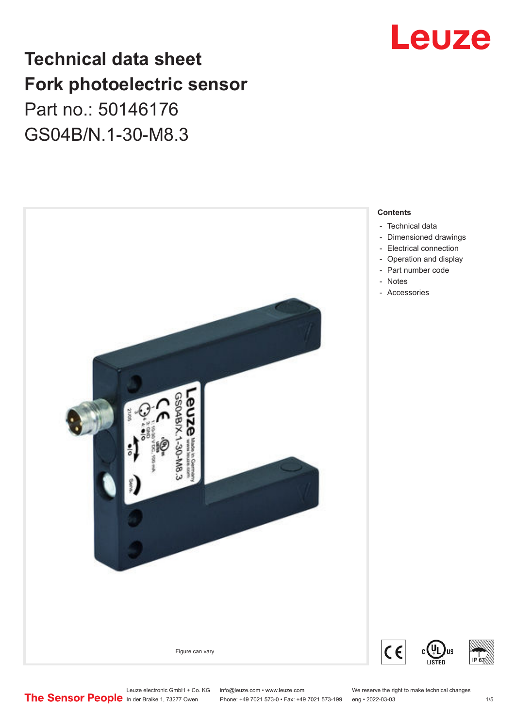# Leuze

# **Technical data sheet Fork photoelectric sensor** Part no.: 50146176 GS04B/N.1-30-M8.3



Leuze electronic GmbH + Co. KG info@leuze.com • www.leuze.com We reserve the right to make technical changes<br>
The Sensor People in der Braike 1, 73277 Owen Phone: +49 7021 573-0 • Fax: +49 7021 573-199 eng • 2022-03-03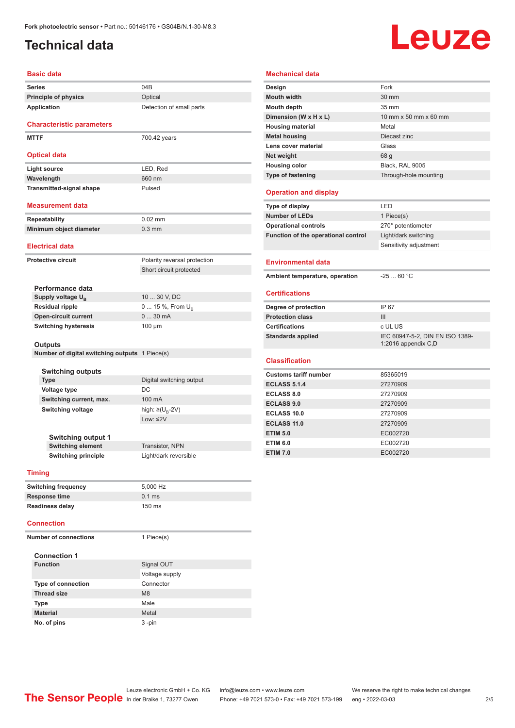# <span id="page-1-0"></span>**Technical data**

# Leuze

|                           | <b>Basic data</b>                                         |                              |  |
|---------------------------|-----------------------------------------------------------|------------------------------|--|
| <b>Series</b>             |                                                           | 04B                          |  |
|                           | <b>Principle of physics</b>                               | Optical                      |  |
|                           | Application                                               | Detection of small parts     |  |
|                           |                                                           |                              |  |
|                           | <b>Characteristic parameters</b>                          |                              |  |
| <b>MTTF</b>               |                                                           | 700.42 years                 |  |
|                           |                                                           |                              |  |
|                           | <b>Optical data</b>                                       |                              |  |
|                           | <b>Light source</b>                                       | LED, Red                     |  |
|                           | Wavelength                                                | 660 nm                       |  |
|                           | <b>Transmitted-signal shape</b>                           | Pulsed                       |  |
|                           | <b>Measurement data</b>                                   |                              |  |
|                           |                                                           |                              |  |
|                           | <b>Repeatability</b>                                      | $0.02$ mm                    |  |
|                           | Minimum object diameter                                   | $0.3$ mm                     |  |
|                           | <b>Electrical data</b>                                    |                              |  |
| <b>Protective circuit</b> |                                                           | Polarity reversal protection |  |
|                           |                                                           | Short circuit protected      |  |
|                           |                                                           |                              |  |
|                           | Performance data                                          |                              |  |
|                           | Supply voltage U <sub>R</sub>                             | 10  30 V, DC                 |  |
|                           | <b>Residual ripple</b>                                    | 0  15 %, From $U_{\rm B}$    |  |
|                           | <b>Open-circuit current</b>                               | 030mA                        |  |
|                           | <b>Switching hysteresis</b>                               | $100 \mu m$                  |  |
|                           |                                                           |                              |  |
|                           | Outputs<br>Number of digital switching outputs 1 Piece(s) |                              |  |
|                           |                                                           |                              |  |
|                           | <b>Switching outputs</b>                                  |                              |  |
|                           | <b>Type</b>                                               | Digital switching output     |  |
|                           | <b>Voltage type</b>                                       | <b>DC</b>                    |  |
|                           | Switching current, max.                                   | 100 mA                       |  |
| <b>Switching voltage</b>  |                                                           | high: ≥( $U_B$ -2V)          |  |
|                           |                                                           | Low: $\leq 2V$               |  |
|                           |                                                           |                              |  |
| <b>Switching output 1</b> |                                                           |                              |  |
|                           | <b>Switching element</b>                                  | <b>Transistor, NPN</b>       |  |
|                           | <b>Switching principle</b>                                | Light/dark reversible        |  |
| <b>Timing</b>             |                                                           |                              |  |
|                           |                                                           | $F$ $00011$                  |  |

| <b>Mouth width</b>                  | 30 mm                                                  |
|-------------------------------------|--------------------------------------------------------|
| <b>Mouth depth</b>                  | 35 mm                                                  |
| Dimension (W x H x L)               | 10 mm x 50 mm x 60 mm                                  |
| <b>Housing material</b>             | Metal                                                  |
| <b>Metal housing</b>                | Diecast zinc                                           |
| Lens cover material                 | Glass                                                  |
| Net weight                          | 68 q                                                   |
| <b>Housing color</b>                | Black, RAL 9005                                        |
| Type of fastening                   | Through-hole mounting                                  |
| <b>Operation and display</b>        |                                                        |
| Type of display                     | LED                                                    |
| <b>Number of LEDs</b>               | 1 Piece(s)                                             |
| <b>Operational controls</b>         | 270° potentiometer                                     |
| Function of the operational control | Light/dark switching                                   |
|                                     | Sensitivity adjustment                                 |
| <b>Environmental data</b>           |                                                        |
| Ambient temperature, operation      | $-2560 °C$                                             |
| <b>Certifications</b>               |                                                        |
| Degree of protection                | IP 67                                                  |
| <b>Protection class</b>             | III                                                    |
| <b>Certifications</b>               | c UL US                                                |
| <b>Standards applied</b>            | IEC 60947-5-2, DIN EN ISO 1389-<br>1:2016 appendix C,D |
| <b>Classification</b>               |                                                        |
| <b>Customs tariff number</b>        | 85365019                                               |
| <b>ECLASS 5.1.4</b>                 | 27270909                                               |
| <b>ECLASS 8.0</b>                   | 27270909                                               |
| <b>ECLASS 9.0</b>                   | 27270909                                               |
| ECLASS 10.0                         | 27270909                                               |
|                                     |                                                        |
| <b>ECLASS 11.0</b>                  | 27270909                                               |

**ETIM 6.0** EC002720 **ETIM 7.0** EC002720

**Mechanical data**

**Design Fork** 

| 5.000 Hz         |
|------------------|
| $0.1$ ms         |
| $150 \text{ ms}$ |
|                  |

#### **Connection**

|  | <b>Number of connections</b> | 1 Piece(s)     |
|--|------------------------------|----------------|
|  | <b>Connection 1</b>          |                |
|  | <b>Function</b>              | Signal OUT     |
|  |                              | Voltage supply |
|  | <b>Type of connection</b>    | Connector      |
|  | <b>Thread size</b>           | M8             |
|  | <b>Type</b>                  | Male           |
|  | <b>Material</b>              | Metal          |
|  | No. of pins                  | 3-pin          |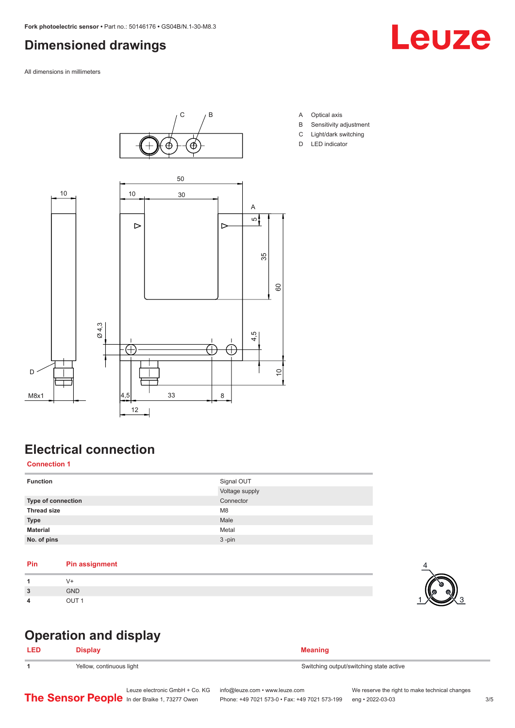# <span id="page-2-0"></span>**Dimensioned drawings**

All dimensions in millimeters



**Electrical connection**

#### **Connection 1**

| <b>Function</b>    | Signal OUT<br>Voltage supply |
|--------------------|------------------------------|
| Type of connection | Connector                    |
| <b>Thread size</b> | M <sub>8</sub>               |
| <b>Type</b>        | Male                         |
| <b>Material</b>    | Metal                        |
| No. of pins        | $3 - pin$                    |

#### **Pin Pin assignment**

| и                  |              |
|--------------------|--------------|
| $\mathbf{r}$<br>п. | <b>GND</b>   |
| Δ                  | $\cap$ it if |

# $1$   $\times$  3

**LED Display Meaning**

**Operation and display**

**1** Yellow, continuous light Switching output/switching state active Switching output/switching state active

Leuze electronic GmbH + Co. KG info@leuze.com • www.leuze.com We reserve the right to make technical changes<br>
The Sensor People in der Braike 1, 73277 Owen Phone: +49 7021 573-0 • Fax: +49 7021 573-199 eng • 2022-03-03







Phone: +49 7021 573-0 • Fax: +49 7021 573-199 eng • 2022-03-03 3/5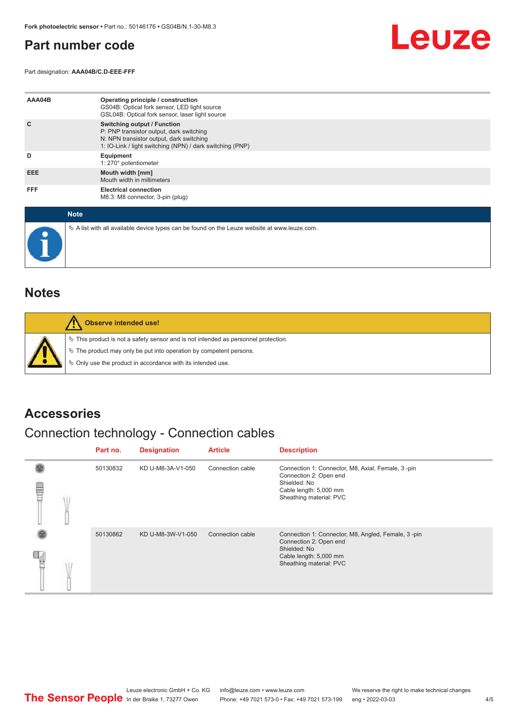# <span id="page-3-0"></span>**Part number code**

Part designation: **AAA04B/C.D-EEE-FFF**



| AAA04B     | Operating principle / construction<br>GS04B: Optical fork sensor, LED light source<br>GSL04B: Optical fork sensor, laser light source                                                   |
|------------|-----------------------------------------------------------------------------------------------------------------------------------------------------------------------------------------|
| C          | <b>Switching output / Function</b><br>P: PNP transistor output, dark switching<br>N: NPN transistor output, dark switching<br>1: IO-Link / light switching (NPN) / dark switching (PNP) |
| D          | Equipment<br>1: 270° potentiometer                                                                                                                                                      |
| EEE.       | Mouth width [mm]<br>Mouth width in millimeters                                                                                                                                          |
| <b>FFF</b> | <b>Electrical connection</b><br>M8.3: M8 connector, 3-pin (plug)                                                                                                                        |

| <b>Note</b>                                                                                     |
|-------------------------------------------------------------------------------------------------|
| $\&$ A list with all available device types can be found on the Leuze website at www.leuze.com. |

## **Notes**

| Observe intended use!                                                                                                                                                                                                      |
|----------------------------------------------------------------------------------------------------------------------------------------------------------------------------------------------------------------------------|
| $\%$ This product is not a safety sensor and is not intended as personnel protection.<br>§ The product may only be put into operation by competent persons.<br>§ Only use the product in accordance with its intended use. |

## **Accessories**

# Connection technology - Connection cables

|   |  | Part no. | <b>Designation</b> | <b>Article</b>   | <b>Description</b>                                                                                                                                |
|---|--|----------|--------------------|------------------|---------------------------------------------------------------------------------------------------------------------------------------------------|
| ▤ |  | 50130832 | KD U-M8-3A-V1-050  | Connection cable | Connection 1: Connector, M8, Axial, Female, 3-pin<br>Connection 2: Open end<br>Shielded: No<br>Cable length: 5,000 mm<br>Sheathing material: PVC  |
|   |  | 50130862 | KD U-M8-3W-V1-050  | Connection cable | Connection 1: Connector, M8, Angled, Female, 3-pin<br>Connection 2: Open end<br>Shielded: No<br>Cable length: 5,000 mm<br>Sheathing material: PVC |